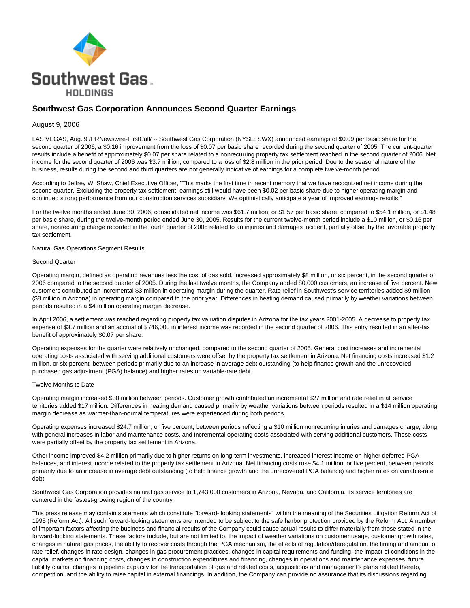

# **Southwest Gas Corporation Announces Second Quarter Earnings**

### August 9, 2006

LAS VEGAS, Aug. 9 /PRNewswire-FirstCall/ -- Southwest Gas Corporation (NYSE: SWX) announced earnings of \$0.09 per basic share for the second quarter of 2006, a \$0.16 improvement from the loss of \$0.07 per basic share recorded during the second quarter of 2005. The current-quarter results include a benefit of approximately \$0.07 per share related to a nonrecurring property tax settlement reached in the second quarter of 2006. Net income for the second quarter of 2006 was \$3.7 million, compared to a loss of \$2.8 million in the prior period. Due to the seasonal nature of the business, results during the second and third quarters are not generally indicative of earnings for a complete twelve-month period.

According to Jeffrey W. Shaw, Chief Executive Officer, "This marks the first time in recent memory that we have recognized net income during the second quarter. Excluding the property tax settlement, earnings still would have been \$0.02 per basic share due to higher operating margin and continued strong performance from our construction services subsidiary. We optimistically anticipate a year of improved earnings results."

For the twelve months ended June 30, 2006, consolidated net income was \$61.7 million, or \$1.57 per basic share, compared to \$54.1 million, or \$1.48 per basic share, during the twelve-month period ended June 30, 2005. Results for the current twelve-month period include a \$10 million, or \$0.16 per share, nonrecurring charge recorded in the fourth quarter of 2005 related to an injuries and damages incident, partially offset by the favorable property tax settlement.

Natural Gas Operations Segment Results

#### Second Quarter

Operating margin, defined as operating revenues less the cost of gas sold, increased approximately \$8 million, or six percent, in the second quarter of 2006 compared to the second quarter of 2005. During the last twelve months, the Company added 80,000 customers, an increase of five percent. New customers contributed an incremental \$3 million in operating margin during the quarter. Rate relief in Southwest's service territories added \$9 million (\$8 million in Arizona) in operating margin compared to the prior year. Differences in heating demand caused primarily by weather variations between periods resulted in a \$4 million operating margin decrease.

In April 2006, a settlement was reached regarding property tax valuation disputes in Arizona for the tax years 2001-2005. A decrease to property tax expense of \$3.7 million and an accrual of \$746,000 in interest income was recorded in the second quarter of 2006. This entry resulted in an after-tax benefit of approximately \$0.07 per share.

Operating expenses for the quarter were relatively unchanged, compared to the second quarter of 2005. General cost increases and incremental operating costs associated with serving additional customers were offset by the property tax settlement in Arizona. Net financing costs increased \$1.2 million, or six percent, between periods primarily due to an increase in average debt outstanding (to help finance growth and the unrecovered purchased gas adjustment (PGA) balance) and higher rates on variable-rate debt.

#### Twelve Months to Date

Operating margin increased \$30 million between periods. Customer growth contributed an incremental \$27 million and rate relief in all service territories added \$17 million. Differences in heating demand caused primarily by weather variations between periods resulted in a \$14 million operating margin decrease as warmer-than-normal temperatures were experienced during both periods.

Operating expenses increased \$24.7 million, or five percent, between periods reflecting a \$10 million nonrecurring injuries and damages charge, along with general increases in labor and maintenance costs, and incremental operating costs associated with serving additional customers. These costs were partially offset by the property tax settlement in Arizona.

Other income improved \$4.2 million primarily due to higher returns on long-term investments, increased interest income on higher deferred PGA balances, and interest income related to the property tax settlement in Arizona. Net financing costs rose \$4.1 million, or five percent, between periods primarily due to an increase in average debt outstanding (to help finance growth and the unrecovered PGA balance) and higher rates on variable-rate debt.

Southwest Gas Corporation provides natural gas service to 1,743,000 customers in Arizona, Nevada, and California. Its service territories are centered in the fastest-growing region of the country.

This press release may contain statements which constitute "forward- looking statements" within the meaning of the Securities Litigation Reform Act of 1995 (Reform Act). All such forward-looking statements are intended to be subject to the safe harbor protection provided by the Reform Act. A number of important factors affecting the business and financial results of the Company could cause actual results to differ materially from those stated in the forward-looking statements. These factors include, but are not limited to, the impact of weather variations on customer usage, customer growth rates, changes in natural gas prices, the ability to recover costs through the PGA mechanism, the effects of regulation/deregulation, the timing and amount of rate relief, changes in rate design, changes in gas procurement practices, changes in capital requirements and funding, the impact of conditions in the capital markets on financing costs, changes in construction expenditures and financing, changes in operations and maintenance expenses, future liability claims, changes in pipeline capacity for the transportation of gas and related costs, acquisitions and management's plans related thereto, competition, and the ability to raise capital in external financings. In addition, the Company can provide no assurance that its discussions regarding